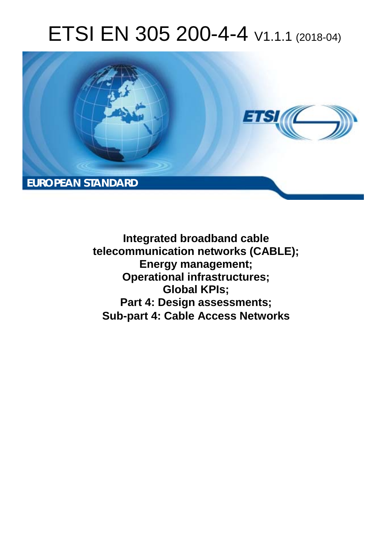# ETSI EN 305 200-4-4 V1.1.1 (2018-04)



**Integrated broadband cable telecommunication networks (CABLE); Energy management; Operational infrastructures; Global KPIs; Part 4: Design assessments; Sub-part 4: Cable Access Networks**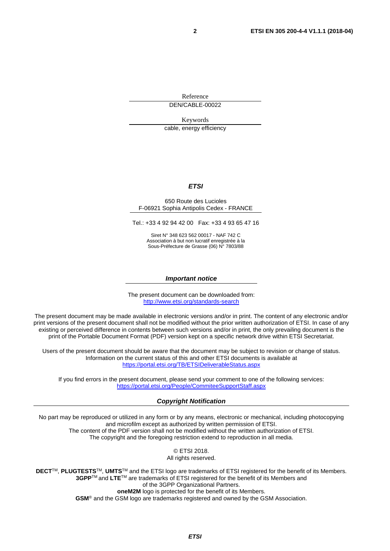Reference

DEN/CABLE-00022

Keywords

cable, energy efficiency

#### *ETSI*

#### 650 Route des Lucioles F-06921 Sophia Antipolis Cedex - FRANCE

Tel.: +33 4 92 94 42 00 Fax: +33 4 93 65 47 16

Siret N° 348 623 562 00017 - NAF 742 C Association à but non lucratif enregistrée à la Sous-Préfecture de Grasse (06) N° 7803/88

#### *Important notice*

The present document can be downloaded from: <http://www.etsi.org/standards-search>

The present document may be made available in electronic versions and/or in print. The content of any electronic and/or print versions of the present document shall not be modified without the prior written authorization of ETSI. In case of any existing or perceived difference in contents between such versions and/or in print, the only prevailing document is the print of the Portable Document Format (PDF) version kept on a specific network drive within ETSI Secretariat.

Users of the present document should be aware that the document may be subject to revision or change of status. Information on the current status of this and other ETSI documents is available at <https://portal.etsi.org/TB/ETSIDeliverableStatus.aspx>

If you find errors in the present document, please send your comment to one of the following services: <https://portal.etsi.org/People/CommiteeSupportStaff.aspx>

#### *Copyright Notification*

No part may be reproduced or utilized in any form or by any means, electronic or mechanical, including photocopying and microfilm except as authorized by written permission of ETSI. The content of the PDF version shall not be modified without the written authorization of ETSI. The copyright and the foregoing restriction extend to reproduction in all media.

> © ETSI 2018. All rights reserved.

**DECT**TM, **PLUGTESTS**TM, **UMTS**TM and the ETSI logo are trademarks of ETSI registered for the benefit of its Members. **3GPP**TM and **LTE**TM are trademarks of ETSI registered for the benefit of its Members and of the 3GPP Organizational Partners. **oneM2M** logo is protected for the benefit of its Members.

**GSM**® and the GSM logo are trademarks registered and owned by the GSM Association.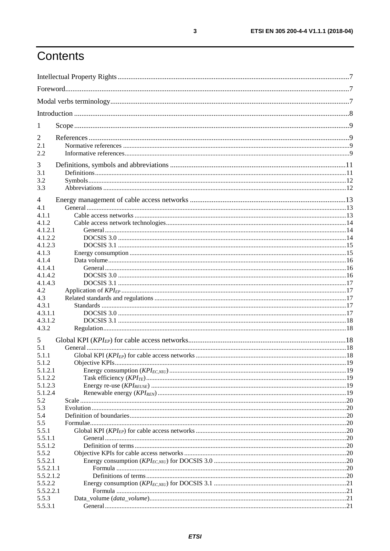# Contents

| 1              |  |
|----------------|--|
| 2              |  |
| 2.1            |  |
| 2.2            |  |
| 3              |  |
| 3.1            |  |
| 3.2            |  |
| 3.3            |  |
| 4              |  |
| 4.1            |  |
| 4.1.1          |  |
| 4.1.2          |  |
| 4.1.2.1        |  |
| 4.1.2.2        |  |
| 4.1.2.3        |  |
| 4.1.3<br>4.1.4 |  |
| 4.1.4.1        |  |
| 4.1.4.2        |  |
| 4.1.4.3        |  |
| 4.2            |  |
| 4.3            |  |
| 4.3.1          |  |
| 4.3.1.1        |  |
| 4.3.1.2        |  |
| 4.3.2          |  |
| 5              |  |
| 5.1            |  |
| 5.1.1          |  |
| 5.1.2          |  |
| 5.1.2.1        |  |
| 5.1.2.2        |  |
| 5.1.2.3        |  |
| 5.1.2.4        |  |
| 5.2<br>5.3     |  |
| 5.4            |  |
| 5.5            |  |
| 5.5.1          |  |
| 5.5.1.1        |  |
| 5.5.1.2        |  |
| 5.5.2          |  |
| 5.5.2.1        |  |
| 5.5.2.1.1      |  |
| 5.5.2.1.2      |  |
| 5.5.2.2        |  |
| 5.5.2.2.1      |  |
| 5.5.3          |  |
| 5.5.3.1        |  |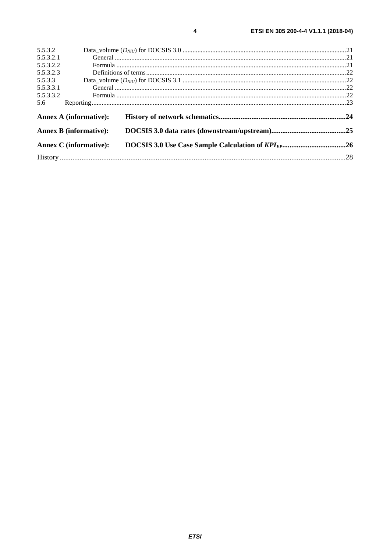| 5.5.3.2   |                               |  |
|-----------|-------------------------------|--|
| 5.5.3.2.1 |                               |  |
| 5.5.3.2.2 |                               |  |
| 5.5.3.2.3 |                               |  |
| 5.5.3.3   |                               |  |
| 5.5.3.3.1 |                               |  |
| 5.5.3.3.2 |                               |  |
| 5.6       |                               |  |
|           | <b>Annex A (informative):</b> |  |
|           | <b>Annex B</b> (informative): |  |
|           | <b>Annex C</b> (informative): |  |
|           |                               |  |
|           |                               |  |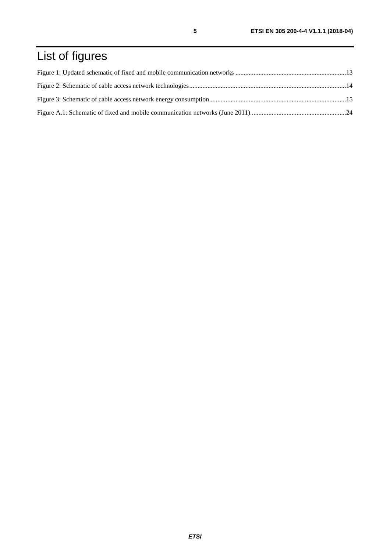# List of figures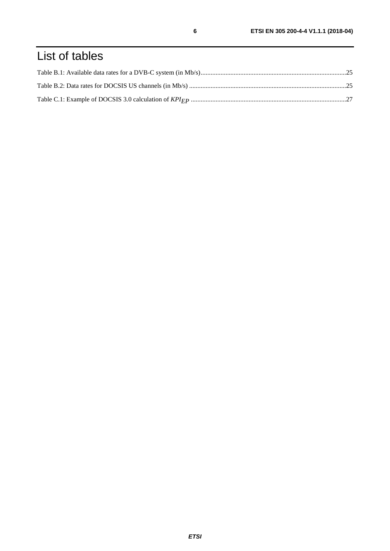# List of tables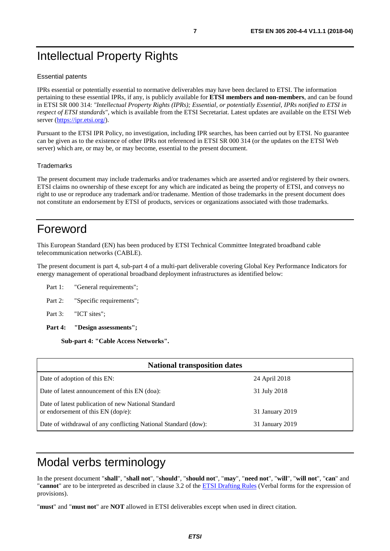# <span id="page-6-0"></span>Intellectual Property Rights

#### Essential patents

IPRs essential or potentially essential to normative deliverables may have been declared to ETSI. The information pertaining to these essential IPRs, if any, is publicly available for **ETSI members and non-members**, and can be found in ETSI SR 000 314: *"Intellectual Property Rights (IPRs); Essential, or potentially Essential, IPRs notified to ETSI in respect of ETSI standards"*, which is available from the ETSI Secretariat. Latest updates are available on the ETSI Web server (<https://ipr.etsi.org/>).

Pursuant to the ETSI IPR Policy, no investigation, including IPR searches, has been carried out by ETSI. No guarantee can be given as to the existence of other IPRs not referenced in ETSI SR 000 314 (or the updates on the ETSI Web server) which are, or may be, or may become, essential to the present document.

#### **Trademarks**

The present document may include trademarks and/or tradenames which are asserted and/or registered by their owners. ETSI claims no ownership of these except for any which are indicated as being the property of ETSI, and conveys no right to use or reproduce any trademark and/or tradename. Mention of those trademarks in the present document does not constitute an endorsement by ETSI of products, services or organizations associated with those trademarks.

# Foreword

This European Standard (EN) has been produced by ETSI Technical Committee Integrated broadband cable telecommunication networks (CABLE).

The present document is part 4, sub-part 4 of a multi-part deliverable covering Global Key Performance Indicators for energy management of operational broadband deployment infrastructures as identified below:

- Part 1: "General requirements";
- Part 2: "Specific requirements";
- Part 3: "ICT sites";
- **Part 4: "Design assessments";**

**Sub-part 4: "Cable Access Networks".** 

| <b>National transposition dates</b>                                                                            |                 |  |  |
|----------------------------------------------------------------------------------------------------------------|-----------------|--|--|
| Date of adoption of this EN:                                                                                   | 24 April 2018   |  |  |
| Date of latest announcement of this EN (doa):                                                                  | 31 July 2018    |  |  |
| Date of latest publication of new National Standard<br>or endorsement of this $EN$ (dop/e):<br>31 January 2019 |                 |  |  |
| Date of withdrawal of any conflicting National Standard (dow):                                                 | 31 January 2019 |  |  |

# Modal verbs terminology

In the present document "**shall**", "**shall not**", "**should**", "**should not**", "**may**", "**need not**", "**will**", "**will not**", "**can**" and "**cannot**" are to be interpreted as described in clause 3.2 of the [ETSI Drafting Rules](https://portal.etsi.org/Services/editHelp!/Howtostart/ETSIDraftingRules.aspx) (Verbal forms for the expression of provisions).

"**must**" and "**must not**" are **NOT** allowed in ETSI deliverables except when used in direct citation.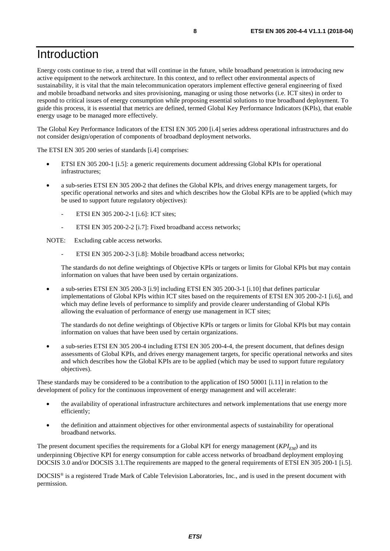# <span id="page-7-0"></span>Introduction

Energy costs continue to rise, a trend that will continue in the future, while broadband penetration is introducing new active equipment to the network architecture. In this context, and to reflect other environmental aspects of sustainability, it is vital that the main telecommunication operators implement effective general engineering of fixed and mobile broadband networks and sites provisioning, managing or using those networks (i.e. ICT sites) in order to respond to critical issues of energy consumption while proposing essential solutions to true broadband deployment. To guide this process, it is essential that metrics are defined, termed Global Key Performance Indicators (KPIs), that enable energy usage to be managed more effectively.

The Global Key Performance Indicators of the ETSI EN 305 200 [[i.4](#page-9-0)] series address operational infrastructures and do not consider design/operation of components of broadband deployment networks.

The ETSI EN 305 200 series of standards [[i.4](#page-9-0)] comprises:

- ETSI EN 305 200-1 [\[i.5\]](#page-9-0): a generic requirements document addressing Global KPIs for operational infrastructures;
- a sub-series ETSI EN 305 200-2 that defines the Global KPIs, and drives energy management targets, for specific operational networks and sites and which describes how the Global KPIs are to be applied (which may be used to support future regulatory objectives):
	- ETSI EN 305 200-2-1 [[i.6\]](#page-9-0): ICT sites;
	- ETSI EN 305 200-2-2 [[i.7\]](#page-9-0): Fixed broadband access networks;

NOTE: Excluding cable access networks.

ETSI EN 305 200-2-3 [[i.8\]](#page-9-0): Mobile broadband access networks;

The standards do not define weightings of Objective KPIs or targets or limits for Global KPIs but may contain information on values that have been used by certain organizations.

• a sub-series ETSI EN 305 200-3 [[i.9](#page-9-0)] including ETSI EN 305 200-3-1 [[i.10\]](#page-9-0) that defines particular implementations of Global KPIs within ICT sites based on the requirements of ETSI EN 305 200-2-1 [\[i.6](#page-9-0)], and which may define levels of performance to simplify and provide clearer understanding of Global KPIs allowing the evaluation of performance of energy use management in ICT sites;

The standards do not define weightings of Objective KPIs or targets or limits for Global KPIs but may contain information on values that have been used by certain organizations.

• a sub-series ETSI EN 305 200-4 including ETSI EN 305 200-4-4, the present document, that defines design assessments of Global KPIs, and drives energy management targets, for specific operational networks and sites and which describes how the Global KPIs are to be applied (which may be used to support future regulatory objectives).

These standards may be considered to be a contribution to the application of ISO 50001 [\[i.11](#page-9-0)] in relation to the development of policy for the continuous improvement of energy management and will accelerate:

- the availability of operational infrastructure architectures and network implementations that use energy more efficiently;
- the definition and attainment objectives for other environmental aspects of sustainability for operational broadband networks.

The present document specifies the requirements for a Global KPI for energy management (*KPI<sub>EM</sub>*) and its underpinning Objective KPI for energy consumption for cable access networks of broadband deployment employing DOCSIS 3.0 and/or DOCSIS 3.1.The requirements are mapped to the general requirements of ETSI EN 305 200-1 [[i.5](#page-9-0)].

DOCSIS® is a registered Trade Mark of Cable Television Laboratories, Inc., and is used in the present document with permission.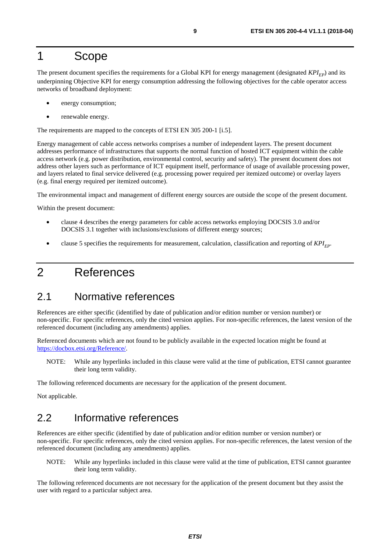# <span id="page-8-0"></span>1 Scope

The present document specifies the requirements for a Global KPI for energy management (designated  $KPI_{EP}$ ) and its underpinning Objective KPI for energy consumption addressing the following objectives for the cable operator access networks of broadband deployment:

- energy consumption;
- renewable energy.

The requirements are mapped to the concepts of ETSI EN 305 200-1 [[i.5](#page-9-0)].

Energy management of cable access networks comprises a number of independent layers. The present document addresses performance of infrastructures that supports the normal function of hosted ICT equipment within the cable access network (e.g. power distribution, environmental control, security and safety). The present document does not address other layers such as performance of ICT equipment itself, performance of usage of available processing power, and layers related to final service delivered (e.g. processing power required per itemized outcome) or overlay layers (e.g. final energy required per itemized outcome).

The environmental impact and management of different energy sources are outside the scope of the present document.

Within the present document:

- clause 4 describes the energy parameters for cable access networks employing DOCSIS 3.0 and/or DOCSIS 3.1 together with inclusions/exclusions of different energy sources;
- clause 5 specifies the requirements for measurement, calculation, classification and reporting of *KPI<sub>EP</sub>*.

# 2 References

### 2.1 Normative references

References are either specific (identified by date of publication and/or edition number or version number) or non-specific. For specific references, only the cited version applies. For non-specific references, the latest version of the referenced document (including any amendments) applies.

Referenced documents which are not found to be publicly available in the expected location might be found at <https://docbox.etsi.org/Reference/>.

NOTE: While any hyperlinks included in this clause were valid at the time of publication, ETSI cannot guarantee their long term validity.

The following referenced documents are necessary for the application of the present document.

Not applicable.

# 2.2 Informative references

References are either specific (identified by date of publication and/or edition number or version number) or non-specific. For specific references, only the cited version applies. For non-specific references, the latest version of the referenced document (including any amendments) applies.

NOTE: While any hyperlinks included in this clause were valid at the time of publication, ETSI cannot guarantee their long term validity.

The following referenced documents are not necessary for the application of the present document but they assist the user with regard to a particular subject area.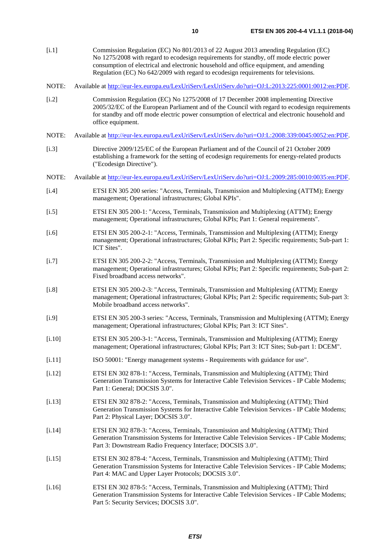- <span id="page-9-0"></span>[i.1] Commission Regulation (EC) No 801/2013 of 22 August 2013 amending Regulation (EC) No 1275/2008 with regard to ecodesign requirements for standby, off mode electric power consumption of electrical and electronic household and office equipment, and amending Regulation (EC) No 642/2009 with regard to ecodesign requirements for televisions.
- NOTE: Available at<http://eur-lex.europa.eu/LexUriServ/LexUriServ.do?uri=OJ:L:2013:225:0001:0012:en:PDF>.
- [i.2] Commission Regulation (EC) No 1275/2008 of 17 December 2008 implementing Directive 2005/32/EC of the European Parliament and of the Council with regard to ecodesign requirements for standby and off mode electric power consumption of electrical and electronic household and office equipment.
- NOTE: Available at<http://eur-lex.europa.eu/LexUriServ/LexUriServ.do?uri=OJ:L:2008:339:0045:0052:en:PDF>.
- [i.3] Directive 2009/125/EC of the European Parliament and of the Council of 21 October 2009 establishing a framework for the setting of ecodesign requirements for energy-related products ("Ecodesign Directive").
- NOTE: Available at<http://eur-lex.europa.eu/LexUriServ/LexUriServ.do?uri=OJ:L:2009:285:0010:0035:en:PDF>.
- [i.4] ETSI EN 305 200 series: "Access, Terminals, Transmission and Multiplexing (ATTM); Energy management; Operational infrastructures; Global KPIs".
- [i.5] ETSI EN 305 200-1: "Access, Terminals, Transmission and Multiplexing (ATTM); Energy management; Operational infrastructures; Global KPIs; Part 1: General requirements".
- [i.6] ETSI EN 305 200-2-1: "Access, Terminals, Transmission and Multiplexing (ATTM); Energy management; Operational infrastructures; Global KPIs; Part 2: Specific requirements; Sub-part 1: ICT Sites".
- [i.7] ETSI EN 305 200-2-2: "Access, Terminals, Transmission and Multiplexing (ATTM); Energy management; Operational infrastructures; Global KPIs; Part 2: Specific requirements; Sub-part 2: Fixed broadband access networks".
- [i.8] ETSI EN 305 200-2-3: "Access, Terminals, Transmission and Multiplexing (ATTM); Energy management; Operational infrastructures; Global KPIs; Part 2: Specific requirements; Sub-part 3: Mobile broadband access networks".
- [i.9] ETSI EN 305 200-3 series: "Access, Terminals, Transmission and Multiplexing (ATTM); Energy management; Operational infrastructures; Global KPIs; Part 3: ICT Sites".
- [i.10] ETSI EN 305 200-3-1: "Access, Terminals, Transmission and Multiplexing (ATTM); Energy management; Operational infrastructures; Global KPIs; Part 3: ICT Sites; Sub-part 1: DCEM".
- [i.11] ISO 50001: "Energy management systems Requirements with guidance for use".
- [i.12] ETSI EN 302 878-1: "Access, Terminals, Transmission and Multiplexing (ATTM); Third Generation Transmission Systems for Interactive Cable Television Services - IP Cable Modems; Part 1: General; DOCSIS 3.0".
- [i.13] ETSI EN 302 878-2: "Access, Terminals, Transmission and Multiplexing (ATTM); Third Generation Transmission Systems for Interactive Cable Television Services - IP Cable Modems; Part 2: Physical Layer; DOCSIS 3.0".
- [i.14] ETSI EN 302 878-3: "Access, Terminals, Transmission and Multiplexing (ATTM); Third Generation Transmission Systems for Interactive Cable Television Services - IP Cable Modems; Part 3: Downstream Radio Frequency Interface; DOCSIS 3.0".
- [i.15] ETSI EN 302 878-4: "Access, Terminals, Transmission and Multiplexing (ATTM); Third Generation Transmission Systems for Interactive Cable Television Services - IP Cable Modems; Part 4: MAC and Upper Layer Protocols; DOCSIS 3.0".
- [i.16] ETSI EN 302 878-5: "Access, Terminals, Transmission and Multiplexing (ATTM); Third Generation Transmission Systems for Interactive Cable Television Services - IP Cable Modems; Part 5: Security Services; DOCSIS 3.0".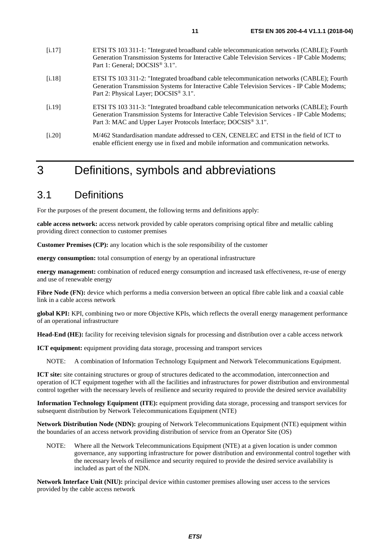- <span id="page-10-0"></span>[i.18] ETSI TS 103 311-2: "Integrated broadband cable telecommunication networks (CABLE); Fourth Generation Transmission Systems for Interactive Cable Television Services - IP Cable Modems; Part 2: Physical Layer; DOCSIS<sup>®</sup> 3.1".
- [i.19] ETSI TS 103 311-3: "Integrated broadband cable telecommunication networks (CABLE); Fourth Generation Transmission Systems for Interactive Cable Television Services - IP Cable Modems; Part 3: MAC and Upper Layer Protocols Interface; DOCSIS<sup>®</sup> 3.1".
- [i.20] M/462 Standardisation mandate addressed to CEN, CENELEC and ETSI in the field of ICT to enable efficient energy use in fixed and mobile information and communication networks.

# 3 Definitions, symbols and abbreviations

### 3.1 Definitions

For the purposes of the present document, the following terms and definitions apply:

**cable access network:** access network provided by cable operators comprising optical fibre and metallic cabling providing direct connection to customer premises

**Customer Premises (CP):** any location which is the sole responsibility of the customer

**energy consumption:** total consumption of energy by an operational infrastructure

**energy management:** combination of reduced energy consumption and increased task effectiveness, re-use of energy and use of renewable energy

Fibre Node (FN): device which performs a media conversion between an optical fibre cable link and a coaxial cable link in a cable access network

**global KPI:** KPI, combining two or more Objective KPIs, which reflects the overall energy management performance of an operational infrastructure

**Head-End (HE):** facility for receiving television signals for processing and distribution over a cable access network

**ICT equipment:** equipment providing data storage, processing and transport services

NOTE: A combination of Information Technology Equipment and Network Telecommunications Equipment.

**ICT site:** site containing structures or group of structures dedicated to the accommodation, interconnection and operation of ICT equipment together with all the facilities and infrastructures for power distribution and environmental control together with the necessary levels of resilience and security required to provide the desired service availability

**Information Technology Equipment (ITE):** equipment providing data storage, processing and transport services for subsequent distribution by Network Telecommunications Equipment (NTE)

**Network Distribution Node (NDN):** grouping of Network Telecommunications Equipment (NTE) equipment within the boundaries of an access network providing distribution of service from an Operator Site (OS)

NOTE: Where all the Network Telecommunications Equipment (NTE) at a given location is under common governance, any supporting infrastructure for power distribution and environmental control together with the necessary levels of resilience and security required to provide the desired service availability is included as part of the NDN.

**Network Interface Unit (NIU):** principal device within customer premises allowing user access to the services provided by the cable access network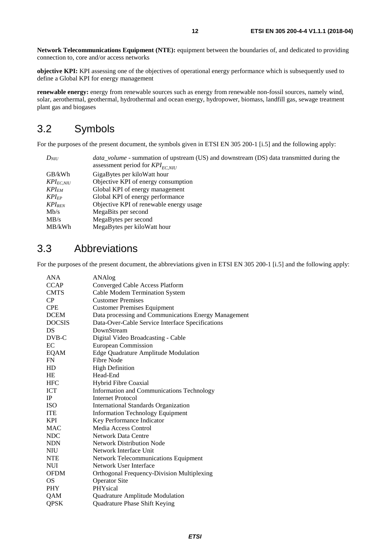<span id="page-11-0"></span>**Network Telecommunications Equipment (NTE):** equipment between the boundaries of, and dedicated to providing connection to, core and/or access networks

**objective KPI:** KPI assessing one of the objectives of operational energy performance which is subsequently used to define a Global KPI for energy management

**renewable energy:** energy from renewable sources such as energy from renewable non-fossil sources, namely wind, solar, aerothermal, geothermal, hydrothermal and ocean energy, hydropower, biomass, landfill gas, sewage treatment plant gas and biogases

## 3.2 Symbols

For the purposes of the present document, the symbols given in ETSI EN 305 200-1 [[i.5](#page-9-0)] and the following apply:

| $D_{NIII}$     | <i>data_volume</i> - summation of upstream (US) and downstream (DS) data transmitted during the |
|----------------|-------------------------------------------------------------------------------------------------|
|                | assessment period for $KPI_{EC, NIU}$                                                           |
| GB/kWh         | GigaBytes per kiloWatt hour                                                                     |
| $KPI_{EC,NIU}$ | Objective KPI of energy consumption                                                             |
| $KPI_{EM}$     | Global KPI of energy management                                                                 |
| $KPI_{EP}$     | Global KPI of energy performance                                                                |
| $KPI_{REN}$    | Objective KPI of renewable energy usage                                                         |
| Mb/s           | MegaBits per second                                                                             |
| MB/s           | MegaBytes per second                                                                            |
| MB/kWh         | MegaBytes per kilo Watt hour                                                                    |
|                |                                                                                                 |

## 3.3 Abbreviations

For the purposes of the present document, the abbreviations given in ETSI EN 305 200-1 [\[i.5\]](#page-9-0) and the following apply:

| <b>CCAP</b><br>Converged Cable Access Platform<br>Cable Modem Termination System<br><b>CMTS</b><br>CP<br><b>Customer Premises</b><br><b>CPE</b><br><b>Customer Premises Equipment</b><br>Data processing and Communications Energy Management<br><b>DCEM</b><br><b>DOCSIS</b><br>Data-Over-Cable Service Interface Specifications<br><b>DS</b><br>DownStream<br>DVB-C<br>Digital Video Broadcasting - Cable<br>EC<br><b>European Commission</b><br>EQAM<br>Edge Quadrature Amplitude Modulation<br>Fibre Node<br>FN<br><b>High Definition</b><br>HD<br>HE<br>Head-End<br><b>HFC</b><br>Hybrid Fibre Coaxial<br>Information and Communications Technology<br>ICT<br>IP<br><b>Internet Protocol</b><br><b>ISO</b><br><b>International Standards Organization</b><br><b>ITE</b><br><b>Information Technology Equipment</b><br><b>KPI</b><br>Key Performance Indicator<br>Media Access Control<br>MAC<br><b>NDC</b><br><b>Network Data Centre</b><br><b>Network Distribution Node</b><br><b>NDN</b><br><b>NIU</b><br>Network Interface Unit | <b>ANA</b> | ANAlog                               |
|-----------------------------------------------------------------------------------------------------------------------------------------------------------------------------------------------------------------------------------------------------------------------------------------------------------------------------------------------------------------------------------------------------------------------------------------------------------------------------------------------------------------------------------------------------------------------------------------------------------------------------------------------------------------------------------------------------------------------------------------------------------------------------------------------------------------------------------------------------------------------------------------------------------------------------------------------------------------------------------------------------------------------------------------|------------|--------------------------------------|
|                                                                                                                                                                                                                                                                                                                                                                                                                                                                                                                                                                                                                                                                                                                                                                                                                                                                                                                                                                                                                                         |            |                                      |
|                                                                                                                                                                                                                                                                                                                                                                                                                                                                                                                                                                                                                                                                                                                                                                                                                                                                                                                                                                                                                                         |            |                                      |
|                                                                                                                                                                                                                                                                                                                                                                                                                                                                                                                                                                                                                                                                                                                                                                                                                                                                                                                                                                                                                                         |            |                                      |
|                                                                                                                                                                                                                                                                                                                                                                                                                                                                                                                                                                                                                                                                                                                                                                                                                                                                                                                                                                                                                                         |            |                                      |
|                                                                                                                                                                                                                                                                                                                                                                                                                                                                                                                                                                                                                                                                                                                                                                                                                                                                                                                                                                                                                                         |            |                                      |
|                                                                                                                                                                                                                                                                                                                                                                                                                                                                                                                                                                                                                                                                                                                                                                                                                                                                                                                                                                                                                                         |            |                                      |
|                                                                                                                                                                                                                                                                                                                                                                                                                                                                                                                                                                                                                                                                                                                                                                                                                                                                                                                                                                                                                                         |            |                                      |
|                                                                                                                                                                                                                                                                                                                                                                                                                                                                                                                                                                                                                                                                                                                                                                                                                                                                                                                                                                                                                                         |            |                                      |
|                                                                                                                                                                                                                                                                                                                                                                                                                                                                                                                                                                                                                                                                                                                                                                                                                                                                                                                                                                                                                                         |            |                                      |
|                                                                                                                                                                                                                                                                                                                                                                                                                                                                                                                                                                                                                                                                                                                                                                                                                                                                                                                                                                                                                                         |            |                                      |
|                                                                                                                                                                                                                                                                                                                                                                                                                                                                                                                                                                                                                                                                                                                                                                                                                                                                                                                                                                                                                                         |            |                                      |
|                                                                                                                                                                                                                                                                                                                                                                                                                                                                                                                                                                                                                                                                                                                                                                                                                                                                                                                                                                                                                                         |            |                                      |
|                                                                                                                                                                                                                                                                                                                                                                                                                                                                                                                                                                                                                                                                                                                                                                                                                                                                                                                                                                                                                                         |            |                                      |
|                                                                                                                                                                                                                                                                                                                                                                                                                                                                                                                                                                                                                                                                                                                                                                                                                                                                                                                                                                                                                                         |            |                                      |
|                                                                                                                                                                                                                                                                                                                                                                                                                                                                                                                                                                                                                                                                                                                                                                                                                                                                                                                                                                                                                                         |            |                                      |
|                                                                                                                                                                                                                                                                                                                                                                                                                                                                                                                                                                                                                                                                                                                                                                                                                                                                                                                                                                                                                                         |            |                                      |
|                                                                                                                                                                                                                                                                                                                                                                                                                                                                                                                                                                                                                                                                                                                                                                                                                                                                                                                                                                                                                                         |            |                                      |
|                                                                                                                                                                                                                                                                                                                                                                                                                                                                                                                                                                                                                                                                                                                                                                                                                                                                                                                                                                                                                                         |            |                                      |
|                                                                                                                                                                                                                                                                                                                                                                                                                                                                                                                                                                                                                                                                                                                                                                                                                                                                                                                                                                                                                                         |            |                                      |
|                                                                                                                                                                                                                                                                                                                                                                                                                                                                                                                                                                                                                                                                                                                                                                                                                                                                                                                                                                                                                                         |            |                                      |
|                                                                                                                                                                                                                                                                                                                                                                                                                                                                                                                                                                                                                                                                                                                                                                                                                                                                                                                                                                                                                                         |            |                                      |
|                                                                                                                                                                                                                                                                                                                                                                                                                                                                                                                                                                                                                                                                                                                                                                                                                                                                                                                                                                                                                                         |            |                                      |
|                                                                                                                                                                                                                                                                                                                                                                                                                                                                                                                                                                                                                                                                                                                                                                                                                                                                                                                                                                                                                                         |            |                                      |
| <b>NTE</b>                                                                                                                                                                                                                                                                                                                                                                                                                                                                                                                                                                                                                                                                                                                                                                                                                                                                                                                                                                                                                              |            | Network Telecommunications Equipment |
| Network User Interface<br>NUI                                                                                                                                                                                                                                                                                                                                                                                                                                                                                                                                                                                                                                                                                                                                                                                                                                                                                                                                                                                                           |            |                                      |
| <b>OFDM</b><br>Orthogonal Frequency-Division Multiplexing                                                                                                                                                                                                                                                                                                                                                                                                                                                                                                                                                                                                                                                                                                                                                                                                                                                                                                                                                                               |            |                                      |
| <b>Operator Site</b><br>OS.                                                                                                                                                                                                                                                                                                                                                                                                                                                                                                                                                                                                                                                                                                                                                                                                                                                                                                                                                                                                             |            |                                      |
| <b>PHY</b><br>PHYsical                                                                                                                                                                                                                                                                                                                                                                                                                                                                                                                                                                                                                                                                                                                                                                                                                                                                                                                                                                                                                  |            |                                      |
| QAM<br>Quadrature Amplitude Modulation                                                                                                                                                                                                                                                                                                                                                                                                                                                                                                                                                                                                                                                                                                                                                                                                                                                                                                                                                                                                  |            |                                      |
| QPSK<br>Quadrature Phase Shift Keying                                                                                                                                                                                                                                                                                                                                                                                                                                                                                                                                                                                                                                                                                                                                                                                                                                                                                                                                                                                                   |            |                                      |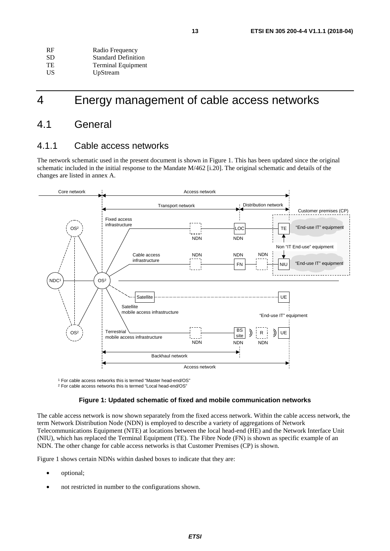<span id="page-12-0"></span>

| <b>RF</b> | Radio Frequency            |
|-----------|----------------------------|
| SD.       | <b>Standard Definition</b> |
| <b>TE</b> | <b>Terminal Equipment</b>  |
| US.       | UpStream                   |

# 4 Energy management of cable access networks

### 4.1 General

#### 4.1.1 Cable access networks

The network schematic used in the present document is shown in Figure 1. This has been updated since the original schematic included in the initial response to the Mandate M/462 [\[i.20](#page-10-0)]. The original schematic and details of the changes are listed in annex A.



1 For cable access networks this is termed "Master head-end/OS"

2 For cable access networks this is termed "Local head-end/OS"

#### **Figure 1: Updated schematic of fixed and mobile communication networks**

The cable access network is now shown separately from the fixed access network. Within the cable access network, the term Network Distribution Node (NDN) is employed to describe a variety of aggregations of Network Telecommunications Equipment (NTE) at locations between the local head-end (HE) and the Network Interface Unit (NIU), which has replaced the Terminal Equipment (TE). The Fibre Node (FN) is shown as specific example of an NDN. The other change for cable access networks is that Customer Premises (CP) is shown.

Figure 1 shows certain NDNs within dashed boxes to indicate that they are:

- optional;
- not restricted in number to the configurations shown.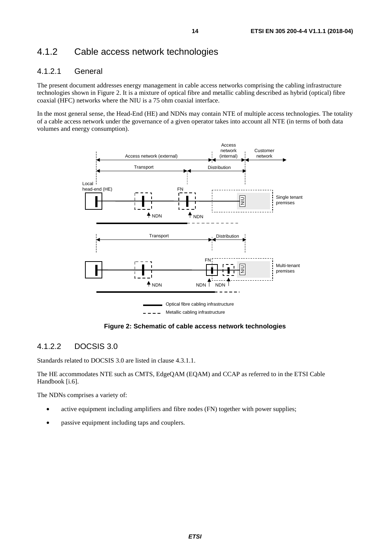### <span id="page-13-0"></span>4.1.2 Cable access network technologies

#### 4.1.2.1 General

The present document addresses energy management in cable access networks comprising the cabling infrastructure technologies shown in Figure 2. It is a mixture of optical fibre and metallic cabling described as hybrid (optical) fibre coaxial (HFC) networks where the NIU is a 75 ohm coaxial interface.

In the most general sense, the Head-End (HE) and NDNs may contain NTE of multiple access technologies. The totality of a cable access network under the governance of a given operator takes into account all NTE (in terms of both data volumes and energy consumption).



**Figure 2: Schematic of cable access network technologies** 

#### 4.1.2.2 DOCSIS 3.0

Standards related to DOCSIS 3.0 are listed in clause [4.3.1.1.](#page-16-0)

The HE accommodates NTE such as CMTS, EdgeQAM (EQAM) and CCAP as referred to in the ETSI Cable Handbook [\[i.6](#page-9-0)].

The NDNs comprises a variety of:

- active equipment including amplifiers and fibre nodes (FN) together with power supplies;
- passive equipment including taps and couplers.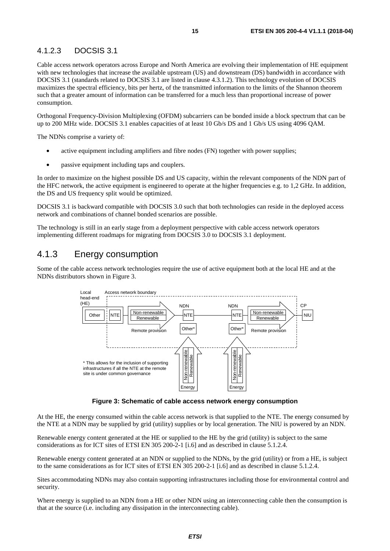#### <span id="page-14-0"></span>4.1.2.3 DOCSIS 3.1

Cable access network operators across Europe and North America are evolving their implementation of HE equipment with new technologies that increase the available upstream (US) and downstream (DS) bandwidth in accordance with DOCSIS 3.1 (standards related to DOCSIS 3.1 are listed in clause [4.3.1.2](#page-17-0)). This technology evolution of DOCSIS maximizes the spectral efficiency, bits per hertz, of the transmitted information to the limits of the Shannon theorem such that a greater amount of information can be transferred for a much less than proportional increase of power consumption.

Orthogonal Frequency-Division Multiplexing (OFDM) subcarriers can be bonded inside a block spectrum that can be up to 200 MHz wide. DOCSIS 3.1 enables capacities of at least 10 Gb/s DS and 1 Gb/s US using 4096 QAM.

The NDNs comprise a variety of:

- active equipment including amplifiers and fibre nodes (FN) together with power supplies;
- passive equipment including taps and couplers.

In order to maximize on the highest possible DS and US capacity, within the relevant components of the NDN part of the HFC network, the active equipment is engineered to operate at the higher frequencies e.g. to 1,2 GHz. In addition, the DS and US frequency split would be optimized.

DOCSIS 3.1 is backward compatible with DOCSIS 3.0 such that both technologies can reside in the deployed access network and combinations of channel bonded scenarios are possible.

The technology is still in an early stage from a deployment perspective with cable access network operators implementing different roadmaps for migrating from DOCSIS 3.0 to DOCSIS 3.1 deployment.

#### 4.1.3 Energy consumption

Some of the cable access network technologies require the use of active equipment both at the local HE and at the NDNs distributors shown in Figure 3.



**Figure 3: Schematic of cable access network energy consumption** 

At the HE, the energy consumed within the cable access network is that supplied to the NTE. The energy consumed by the NTE at a NDN may be supplied by grid (utility) supplies or by local generation. The NIU is powered by an NDN.

Renewable energy content generated at the HE or supplied to the HE by the grid (utility) is subject to the same considerations as for ICT sites of ETSI EN 305 200-2-1 [\[i.6](#page-9-0)] and as described in clause [5.1.2.4](#page-18-0).

Renewable energy content generated at an NDN or supplied to the NDNs, by the grid (utility) or from a HE, is subject to the same considerations as for ICT sites of ETSI EN 305 200-2-1 [\[i.6](#page-9-0)] and as described in clause [5.1.2.4](#page-18-0).

Sites accommodating NDNs may also contain supporting infrastructures including those for environmental control and security.

Where energy is supplied to an NDN from a HE or other NDN using an interconnecting cable then the consumption is that at the source (i.e. including any dissipation in the interconnecting cable).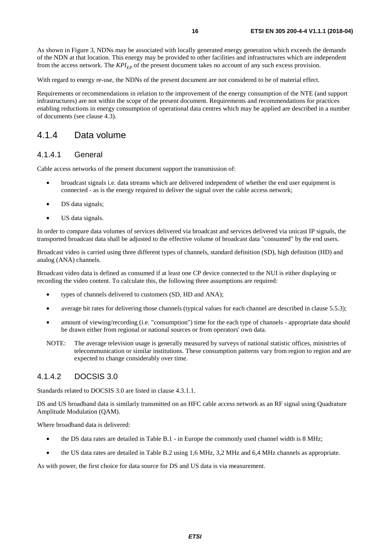<span id="page-15-0"></span>As shown in [Figure 3,](#page-14-0) NDNs may be associated with locally generated energy generation which exceeds the demands of the NDN at that location. This energy may be provided to other facilities and infrastructures which are independent from the access network. The  $KPI_{FD}$  of the present document takes no account of any such excess provision.

With regard to energy re-use, the NDNs of the present document are not considered to be of material effect.

Requirements or recommendations in relation to the improvement of the energy consumption of the NTE (and support infrastructures) are not within the scope of the present document. Requirements and recommendations for practices enabling reductions in energy consumption of operational data centres which may be applied are described in a number of documents (see clause [4.3\)](#page-16-0).

#### 4.1.4 Data volume

#### 4.1.4.1 General

Cable access networks of the present document support the transmission of:

- broadcast signals i.e. data streams which are delivered independent of whether the end user equipment is connected - as is the energy required to deliver the signal over the cable access network;
- DS data signals;
- US data signals.

In order to compare data volumes of services delivered via broadcast and services delivered via unicast IP signals, the transported broadcast data shall be adjusted to the effective volume of broadcast data "consumed" by the end users.

Broadcast video is carried using three different types of channels, standard definition (SD), high definition (HD) and analog (ANA) channels.

Broadcast video data is defined as consumed if at least one CP device connected to the NUI is either displaying or recording the video content. To calculate this, the following three assumptions are required:

- types of channels delivered to customers (SD, HD and ANA);
- average bit rates for delivering those channels (typical values for each channel are described in clause [5.5.3](#page-20-0));
- amount of viewing/recording (i.e. "consumption") time for the each type of channels appropriate data should be drawn either from regional or national sources or from operators' own data.
- NOTE: The average television usage is generally measured by surveys of national statistic offices, ministries of telecommunication or similar institutions. These consumption patterns vary from region to region and are expected to change considerably over time.

#### 4.1.4.2 DOCSIS 3.0

Standards related to DOCSIS 3.0 are listed in clause [4.3.1.1.](#page-16-0)

DS and US broadband data is similarly transmitted on an HFC cable access network as an RF signal using Quadrature Amplitude Modulation (QAM).

Where broadband data is delivered:

- the DS data rates are detailed in Table B.1 in Europe the commonly used channel width is 8 MHz;
- the US data rates are detailed in Table B.2 using 1,6 MHz, 3,2 MHz and 6,4 MHz channels as appropriate.

As with power, the first choice for data source for DS and US data is via measurement.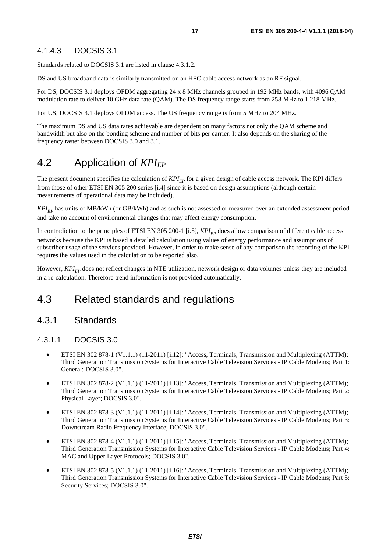#### <span id="page-16-0"></span>4.1.4.3 DOCSIS 3.1

Standards related to DOCSIS 3.1 are listed in clause [4.3.1.2.](#page-17-0)

DS and US broadband data is similarly transmitted on an HFC cable access network as an RF signal.

For DS, DOCSIS 3.1 deploys OFDM aggregating 24 x 8 MHz channels grouped in 192 MHz bands, with 4096 QAM modulation rate to deliver 10 GHz data rate (QAM). The DS frequency range starts from 258 MHz to 1 218 MHz.

For US, DOCSIS 3.1 deploys OFDM access. The US frequency range is from 5 MHz to 204 MHz.

The maximum DS and US data rates achievable are dependent on many factors not only the QAM scheme and bandwidth but also on the bonding scheme and number of bits per carrier. It also depends on the sharing of the frequency raster between DOCSIS 3.0 and 3.1.

## 4.2 Application of *KPI<sub>EP</sub>*

The present document specifies the calculation of  $KPI_{EP}$  for a given design of cable access network. The KPI differs from those of other ETSI EN 305 200 series [\[i.4](#page-9-0)] since it is based on design assumptions (although certain measurements of operational data may be included).

*KPI<sub>EP</sub>* has units of MB/kWh (or GB/kWh) and as such is not assessed or measured over an extended assessment period and take no account of environmental changes that may affect energy consumption.

In contradiction to the principles of ETSI EN 305 200-1 [\[i.5\]](#page-9-0),  $KPI_{FP}$  does allow comparison of different cable access networks because the KPI is based a detailed calculation using values of energy performance and assumptions of subscriber usage of the services provided. However, in order to make sense of any comparison the reporting of the KPI requires the values used in the calculation to be reported also.

However, *KPI<sub>EP</sub>* does not reflect changes in NTE utilization, network design or data volumes unless they are included in a re-calculation. Therefore trend information is not provided automatically.

### 4.3 Related standards and regulations

#### 4.3.1 Standards

#### 4.3.1.1 DOCSIS 3.0

- ETSI EN 302 878-1 (V1.1.1) (11-2011) [\[i.12\]](#page-9-0): "Access, Terminals, Transmission and Multiplexing (ATTM); Third Generation Transmission Systems for Interactive Cable Television Services - IP Cable Modems; Part 1: General; DOCSIS 3.0".
- ETSI EN 302 878-2 (V1.1.1) (11-2011) [\[i.13\]](#page-9-0): "Access, Terminals, Transmission and Multiplexing (ATTM); Third Generation Transmission Systems for Interactive Cable Television Services - IP Cable Modems; Part 2: Physical Layer; DOCSIS 3.0".
- ETSI EN 302 878-3 (V1.1.1) (11-2011) [\[i.14\]](#page-9-0): "Access, Terminals, Transmission and Multiplexing (ATTM); Third Generation Transmission Systems for Interactive Cable Television Services - IP Cable Modems; Part 3: Downstream Radio Frequency Interface; DOCSIS 3.0".
- ETSI EN 302 878-4 (V1.1.1) (11-2011) [\[i.15\]](#page-9-0): "Access, Terminals, Transmission and Multiplexing (ATTM); Third Generation Transmission Systems for Interactive Cable Television Services - IP Cable Modems; Part 4: MAC and Upper Layer Protocols; DOCSIS 3.0".
- ETSI EN 302 878-5 (V1.1.1) (11-2011) [\[i.16\]](#page-9-0): "Access, Terminals, Transmission and Multiplexing (ATTM); Third Generation Transmission Systems for Interactive Cable Television Services - IP Cable Modems; Part 5: Security Services; DOCSIS 3.0".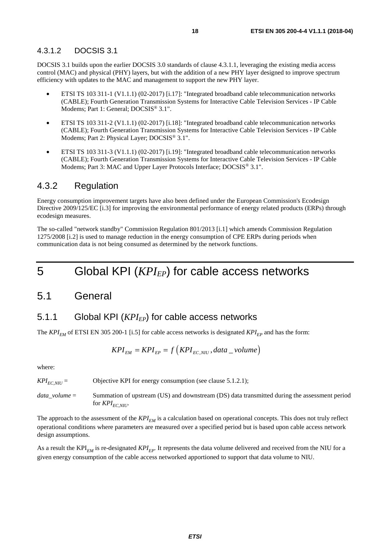#### <span id="page-17-0"></span>4.3.1.2 DOCSIS 3.1

DOCSIS 3.1 builds upon the earlier DOCSIS 3.0 standards of clause [4.3.1.1](#page-16-0), leveraging the existing media access control (MAC) and physical (PHY) layers, but with the addition of a new PHY layer designed to improve spectrum efficiency with updates to the MAC and management to support the new PHY layer.

- ETSI TS 103 311-1 (V1.1.1) (02-2017) [[i.17\]](#page-10-0): "Integrated broadband cable telecommunication networks (CABLE); Fourth Generation Transmission Systems for Interactive Cable Television Services - IP Cable Modems; Part 1: General; DOCSIS® 3.1".
- ETSI TS 103 311-2 (V1.1.1) (02-2017) [[i.18\]](#page-10-0): "Integrated broadband cable telecommunication networks (CABLE); Fourth Generation Transmission Systems for Interactive Cable Television Services - IP Cable Modems; Part 2: Physical Layer; DOCSIS® 3.1".
- ETSI TS 103 311-3 (V1.1.1) (02-2017) [[i.19\]](#page-10-0): "Integrated broadband cable telecommunication networks (CABLE); Fourth Generation Transmission Systems for Interactive Cable Television Services - IP Cable Modems; Part 3: MAC and Upper Layer Protocols Interface; DOCSIS<sup>®</sup> 3.1".

#### 4.3.2 Regulation

Energy consumption improvement targets have also been defined under the European Commission's Ecodesign Directive 2009/125/EC [\[i.3](#page-9-0)] for improving the environmental performance of energy related products (ERPs) through ecodesign measures.

The so-called "network standby" Commission Regulation 801/2013 [\[i.1](#page-9-0)] which amends Commission Regulation 1275/2008 [\[i.2](#page-9-0)] is used to manage reduction in the energy consumption of CPE ERPs during periods when communication data is not being consumed as determined by the network functions.

# 5 Global KPI (*KPI<sub>EP</sub>*) for cable access networks

### 5.1 General

#### 5.1.1 Global KPI (*KPI<sub>EP</sub>*) for cable access networks

The  $KPI_{FM}$  of ETSI EN 305 200-1 [\[i.5\]](#page-9-0) for cable access networks is designated  $KPI_{FP}$  and has the form:

$$
KPI_{EM} = KPI_{EP} = f(KPI_{EC,NIU}, data\_volume)
$$

where:

 $KPI_{EC,NU}$  = Objective KPI for energy consumption (see clause [5.1.2.1](#page-18-0));

*data\_volume* = Summation of upstream (US) and downstream (DS) data transmitted during the assessment period for  $KPI_{FC, NII}$ .

The approach to the assessment of the  $KPI_{FM}$  is a calculation based on operational concepts. This does not truly reflect operational conditions where parameters are measured over a specified period but is based upon cable access network design assumptions.

As a result the  $KPI_{FM}$  is re-designated  $KPI_{FP}$ . It represents the data volume delivered and received from the NIU for a given energy consumption of the cable access networked apportioned to support that data volume to NIU.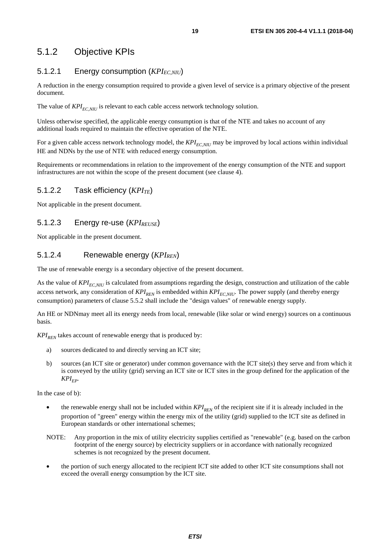### <span id="page-18-0"></span>5.1.2 Objective KPIs

#### 5.1.2.1 Energy consumption (*KPI<sub>EC,NIU</sub>*)

A reduction in the energy consumption required to provide a given level of service is a primary objective of the present document.

The value of  $KPI_{EC,NIII}$  is relevant to each cable access network technology solution.

Unless otherwise specified, the applicable energy consumption is that of the NTE and takes no account of any additional loads required to maintain the effective operation of the NTE.

For a given cable access network technology model, the *KPI<sub>EC,NIU</sub>* may be improved by local actions within individual HE and NDNs by the use of NTE with reduced energy consumption.

Requirements or recommendations in relation to the improvement of the energy consumption of the NTE and support infrastructures are not within the scope of the present document (see clause 4).

#### 5.1.2.2 Task efficiency (*KPI<sub>TE</sub>*)

Not applicable in the present document.

#### 5.1.2.3 Energy re-use (*KPI<sub>REUSE</sub>*)

Not applicable in the present document.

#### 5.1.2.4 Renewable energy (*KPI<sub>REN</sub>*)

The use of renewable energy is a secondary objective of the present document.

As the value of  $KPI_{EC,NIII}$  is calculated from assumptions regarding the design, construction and utilization of the cable access network, any consideration of  $KPI_{REN}$  is embedded within  $KPI_{EC,NU}$ . The power supply (and thereby energy consumption) parameters of clause [5.5.2](#page-19-0) shall include the "design values" of renewable energy supply.

An HE or NDNmay meet all its energy needs from local, renewable (like solar or wind energy) sources on a continuous basis.

 $KPI_{\text{RFN}}$  takes account of renewable energy that is produced by:

- a) sources dedicated to and directly serving an ICT site;
- b) sources (an ICT site or generator) under common governance with the ICT site(s) they serve and from which it is conveyed by the utility (grid) serving an ICT site or ICT sites in the group defined for the application of the  $KPI_{FP}$ .

In the case of b):

- the renewable energy shall not be included within  $KPI_{REN}$  of the recipient site if it is already included in the proportion of "green" energy within the energy mix of the utility (grid) supplied to the ICT site as defined in European standards or other international schemes;
- NOTE: Any proportion in the mix of utility electricity supplies certified as "renewable" (e.g. based on the carbon footprint of the energy source) by electricity suppliers or in accordance with nationally recognized schemes is not recognized by the present document.
- the portion of such energy allocated to the recipient ICT site added to other ICT site consumptions shall not exceed the overall energy consumption by the ICT site.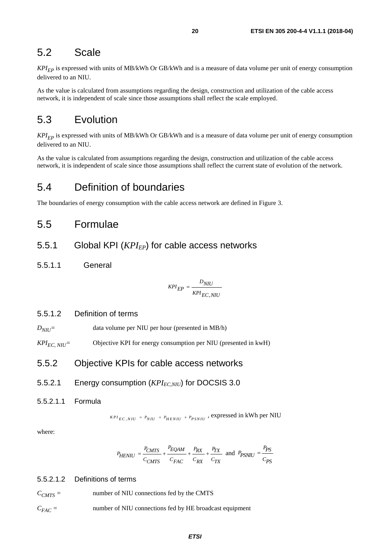### <span id="page-19-0"></span>5.2 Scale

 $KPI_{EP}$  is expressed with units of MB/kWh Or GB/kWh and is a measure of data volume per unit of energy consumption delivered to an NIU.

As the value is calculated from assumptions regarding the design, construction and utilization of the cable access network, it is independent of scale since those assumptions shall reflect the scale employed.

### 5.3 Evolution

*KPI<sub>EP</sub>* is expressed with units of MB/kWh Or GB/kWh and is a measure of data volume per unit of energy consumption delivered to an NIU.

As the value is calculated from assumptions regarding the design, construction and utilization of the cable access network, it is independent of scale since those assumptions shall reflect the current state of evolution of the network.

### 5.4 Definition of boundaries

The boundaries of energy consumption with the cable access network are defined in [Figure 3](#page-14-0).

### 5.5 Formulae

- 5.5.1 Global KPI (*KPI<sub>EP</sub>*) for cable access networks
- 5.5.1.1 General

$$
KPI_{EP} = \frac{D_{NIU}}{KPI_{EC,NIU}}
$$

#### 5.5.1.2 Definition of terms

- *D<sub>NIII</sub>*= data volume per NIU per hour (presented in MB/h)
- *KPI<sub>EC</sub> NIU*<sup>=</sup> Objective KPI for energy consumption per NIU (presented in kwH)

#### 5.5.2 Objective KPIs for cable access networks

- 5.5.2.1 Energy consumption (*KPI<sub>EC,NIU</sub>*) for DOCSIS 3.0
- 5.5.2.1.1 Formula

 $k_{PLE}$  *KPI<sub>EC</sub>*, *NIU* =  $P_{HENIU}$  +  $P_{PSNIU}$  , expressed in kWh per NIU

where:

$$
P_{HENIU} = \frac{P_{CMTS}}{C_{CMTS}} + \frac{P_{EQAM}}{C_{FAC}} + \frac{P_{RX}}{C_{RX}} + \frac{P_{TX}}{C_{TX}} \text{ and } P_{PSNIU} = \frac{P_{PS}}{C_{PS}}
$$

#### 5.5.2.1.2 Definitions of terms

 $C_{CMTS}$  = number of NIU connections fed by the CMTS

*CFAC =* number of NIU connections fed by HE broadcast equipment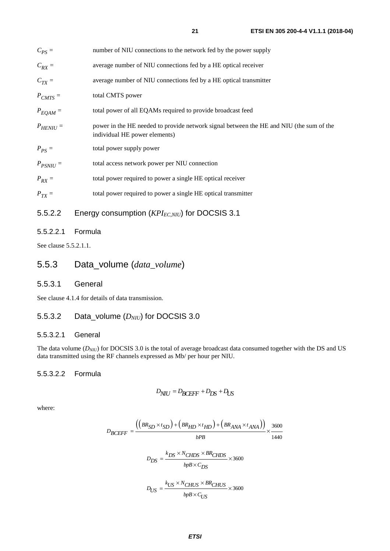<span id="page-20-0"></span>

| $C_{PS} =$    | number of NIU connections to the network fed by the power supply                                                         |
|---------------|--------------------------------------------------------------------------------------------------------------------------|
| $C_{RX} =$    | average number of NIU connections fed by a HE optical receiver                                                           |
| $C_{TX} =$    | average number of NIU connections fed by a HE optical transmitter                                                        |
| $P_{CMTS} =$  | total CMTS power                                                                                                         |
| $P_{EQAM}$ =  | total power of all EQAMs required to provide broadcast feed                                                              |
| $P_{HENIU} =$ | power in the HE needed to provide network signal between the HE and NIU (the sum of the<br>individual HE power elements) |
| $P_{PS} =$    | total power supply power                                                                                                 |
| $P_{PSNU}$ =  | total access network power per NIU connection                                                                            |
| $P_{RX} =$    | total power required to power a single HE optical receiver                                                               |
| $P_{TX} =$    | total power required to power a single HE optical transmitter                                                            |
|               |                                                                                                                          |

### 5.5.2.2 Energy consumption (*KPI<sub>EC,NIU</sub>*) for DOCSIS 3.1

#### 5.5.2.2.1 Formula

See clause [5.5.2.1.1](#page-19-0).

### 5.5.3 Data\_volume (*data\_volume*)

#### 5.5.3.1 General

See clause [4.1.4](#page-15-0) for details of data transmission.

#### 5.5.3.2 Data\_volume (*D<sub>NIU</sub>*) for DOCSIS 3.0

#### 5.5.3.2.1 General

The data volume (*D<sub>NIU</sub>*) for DOCSIS 3.0 is the total of average broadcast data consumed together with the DS and US data transmitted using the RF channels expressed as Mb/ per hour per NIU.

#### 5.5.3.2.2 Formula

$$
D_{\text{NIU}} = D_{\text{BCEFF}} + D_{\text{DS}} + D_{\text{US}}
$$

where:

$$
D_{BCEFF} = \frac{((BR_{SD} \times t_{SD}) + (BR_{HD} \times t_{HD}) + (BR_{ANA} \times t_{ANA}))}{bPB} \times \frac{3600}{1440}
$$
  

$$
D_{DS} = \frac{k_{DS} \times N_{CHDS} \times BR_{CHDS}}{bpB \times C_{DS}} \times 3600
$$
  

$$
D_{US} = \frac{k_{US} \times N_{CHUS} \times BR_{CHUS}}{bpB \times C_{US}} \times 3600
$$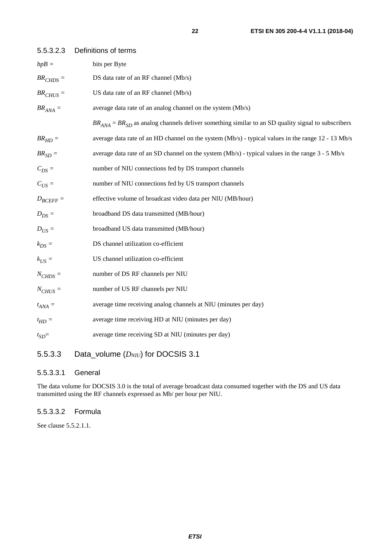| ×<br>I |
|--------|
|        |

<span id="page-21-0"></span>

| 5.5.3.2.3     | Definitions of terms                                                                                     |
|---------------|----------------------------------------------------------------------------------------------------------|
| $bpB =$       | bits per Byte                                                                                            |
| $BRCHDS$ =    | DS data rate of an RF channel (Mb/s)                                                                     |
| $BRCHUS$ =    | US data rate of an RF channel (Mb/s)                                                                     |
| $BR_{ANA} =$  | average data rate of an analog channel on the system (Mb/s)                                              |
|               | $BR_{ANA} = BR_{SD}$ as analog channels deliver something similar to an SD quality signal to subscribers |
| $BR_{HD} =$   | average data rate of an HD channel on the system (Mb/s) - typical values in the range 12 - 13 Mb/s       |
| $BR_{SD} =$   | average data rate of an SD channel on the system (Mb/s) - typical values in the range 3 - 5 Mb/s         |
| $C_{DS}$ =    | number of NIU connections fed by DS transport channels                                                   |
| $C_{US}$ =    | number of NIU connections fed by US transport channels                                                   |
| $D_{BCEFF} =$ | effective volume of broadcast video data per NIU (MB/hour)                                               |
| $D_{DS} =$    | broadband DS data transmitted (MB/hour)                                                                  |
| $D_{US}$ =    | broadband US data transmitted (MB/hour)                                                                  |
| $k_{DS} =$    | DS channel utilization co-efficient                                                                      |
| $k_{US}$ =    | US channel utilization co-efficient                                                                      |
| $N_{CHDS}$ =  | number of DS RF channels per NIU                                                                         |
| $N_{CHUS}$ =  | number of US RF channels per NIU                                                                         |
| $t_{ANA}$ =   | average time receiving analog channels at NIU (minutes per day)                                          |
| $t_{HD}$ =    | average time receiving HD at NIU (minutes per day)                                                       |
| $t_{SD}$ =    | average time receiving SD at NIU (minutes per day)                                                       |
|               |                                                                                                          |

### 5.5.3.3 Data\_volume ( $D_{NU}$ ) for DOCSIS 3.1

#### 5.5.3.3.1 General

The data volume for DOCSIS 3.0 is the total of average broadcast data consumed together with the DS and US data transmitted using the RF channels expressed as Mb/ per hour per NIU.

#### 5.5.3.3.2 Formula

See clause [5.5.2.1.1](#page-19-0).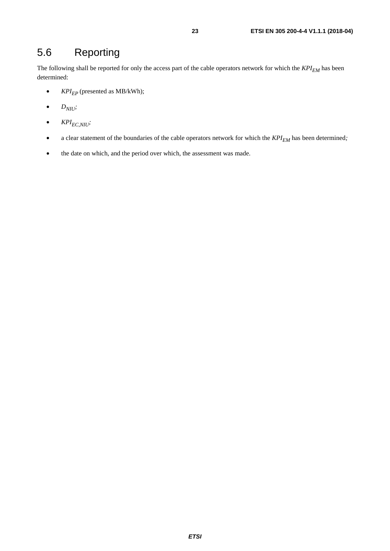# <span id="page-22-0"></span>5.6 Reporting

The following shall be reported for only the access part of the cable operators network for which the  $KPI_{EM}$  has been determined:

- $KPI_{EP}$  (presented as MB/kWh);
- $\bullet$  *D<sub>NIU</sub>*;
- $\bullet$  *KPI<sub>EC,NIU</sub>*;
- a clear statement of the boundaries of the cable operators network for which the  $KPI_{EM}$  has been determined;
- the date on which, and the period over which, the assessment was made.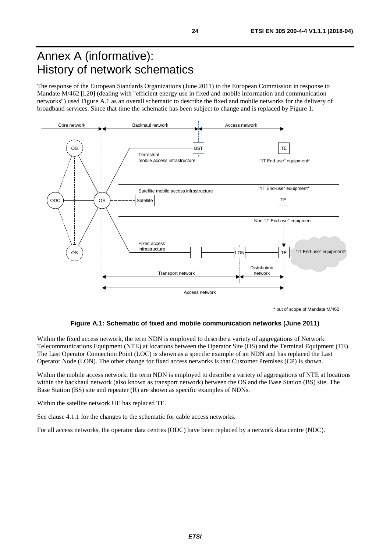# <span id="page-23-0"></span>Annex A (informative): History of network schematics

The response of the European Standards Organizations (June 2011) to the European Commission in response to Mandate M/462 [[i.20\]](#page-10-0) (dealing with "efficient energy use in fixed and mobile information and communication networks") used Figure A.1 as an overall schematic to describe the fixed and mobile networks for the delivery of broadband services. Since that time the schematic has been subject to change and is replaced by [Figure 1.](#page-12-0)



**Figure A.1: Schematic of fixed and mobile communication networks (June 2011)** 

Within the fixed access network, the term NDN is employed to describe a variety of aggregations of Network Telecommunications Equipment (NTE) at locations between the Operator Site (OS) and the Terminal Equipment (TE). The Last Operator Connection Point (LOC) is shown as a specific example of an NDN and has replaced the Last Operator Node (LON). The other change for fixed access networks is that Customer Premises (CP) is shown.

Within the mobile access network, the term NDN is employed to describe a variety of aggregations of NTE at locations within the backhaul network (also known as transport network) between the OS and the Base Station (BS) site. The Base Station (BS) site and repeater (R) are shown as specific examples of NDNs.

Within the satellite network UE has replaced TE.

See clause [4.1.1](#page-12-0) for the changes to the schematic for cable access networks.

For all access networks, the operator data centres (ODC) have been replaced by a network data centre (NDC).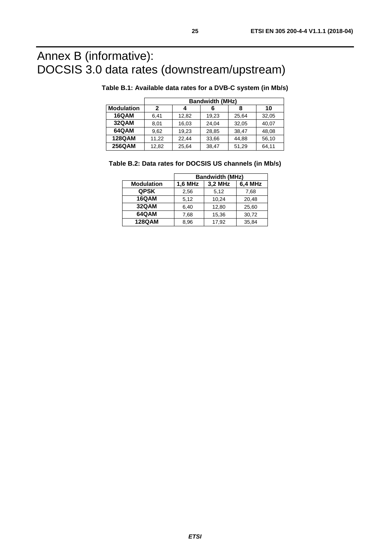# <span id="page-24-0"></span>Annex B (informative): DOCSIS 3.0 data rates (downstream/upstream)

|                   | <b>Bandwidth (MHz)</b> |       |       |       |       |
|-------------------|------------------------|-------|-------|-------|-------|
| <b>Modulation</b> | 2                      |       | 6     | 8     | 10    |
| 16QAM             | 6.41                   | 12.82 | 19.23 | 25.64 | 32.05 |
| <b>32QAM</b>      | 8,01                   | 16,03 | 24.04 | 32,05 | 40,07 |
| 64QAM             | 9,62                   | 19,23 | 28,85 | 38.47 | 48,08 |
| <b>128QAM</b>     | 11,22                  | 22.44 | 33,66 | 44,88 | 56,10 |
| 256QAM            | 12,82                  | 25.64 | 38,47 | 51,29 | 64.11 |

#### **Table B.1: Available data rates for a DVB-C system (in Mb/s)**

|  | Table B.2: Data rates for DOCSIS US channels (in Mb/s) |  |
|--|--------------------------------------------------------|--|
|--|--------------------------------------------------------|--|

|                   | <b>Bandwidth (MHz)</b> |         |         |  |
|-------------------|------------------------|---------|---------|--|
| <b>Modulation</b> | 1,6 MHz                | 3,2 MHz | 6.4 MHz |  |
| <b>QPSK</b>       | 2,56                   | 5,12    | 7,68    |  |
| <b>16QAM</b>      | 5,12                   | 10.24   | 20,48   |  |
| 32QAM             | 6,40                   | 12,80   | 25,60   |  |
| 64QAM             | 7,68                   | 15,36   | 30,72   |  |
| <b>128QAM</b>     | 8,96                   | 17,92   | 35,84   |  |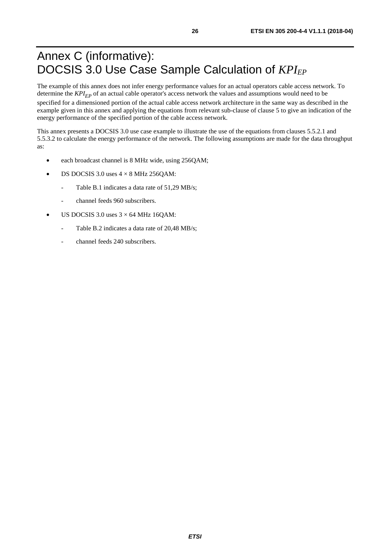# <span id="page-25-0"></span>Annex C (informative): DOCSIS 3.0 Use Case Sample Calculation of  $KPI_{EP}$

The example of this annex does not infer energy performance values for an actual operators cable access network. To determine the  $KPI_{FP}$  of an actual cable operator's access network the values and assumptions would need to be specified for a dimensioned portion of the actual cable access network architecture in the same way as described in the example given in this annex and applying the equations from relevant sub-clause of clause 5 to give an indication of the energy performance of the specified portion of the cable access network.

This annex presents a DOCSIS 3.0 use case example to illustrate the use of the equations from clauses [5.5.2.1](#page-19-0) and [5.5.3.2](#page-20-0) to calculate the energy performance of the network. The following assumptions are made for the data throughput as:

- each broadcast channel is 8 MHz wide, using 256QAM;
- DS DOCSIS 3.0 uses  $4 \times 8$  MHz 256QAM:
	- Table B.1 indicates a data rate of 51,29 MB/s;
	- channel feeds 960 subscribers.
- US DOCSIS 3.0 uses  $3 \times 64$  MHz 16OAM:
	- Table B.2 indicates a data rate of 20,48 MB/s;
	- channel feeds 240 subscribers.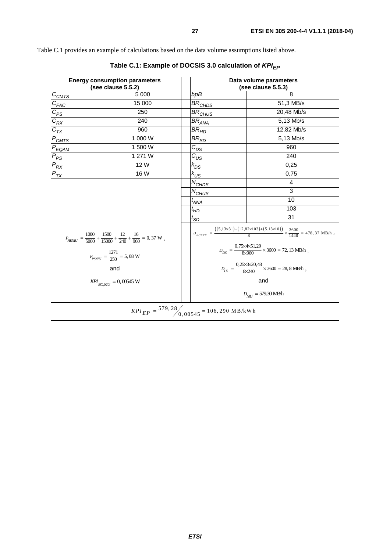<span id="page-26-0"></span>Table C.1 provides an example of calculations based on the data volume assumptions listed above.

| <b>Energy consumption parameters</b><br>(see clause 5.5.2)                                                                                                           |         | Data volume parameters<br>(see clause 5.5.3)                                                                             |                                 |  |
|----------------------------------------------------------------------------------------------------------------------------------------------------------------------|---------|--------------------------------------------------------------------------------------------------------------------------|---------------------------------|--|
| $C_{CMTS}$                                                                                                                                                           | 5 0 0 0 | bpB                                                                                                                      | 8                               |  |
|                                                                                                                                                                      | 15 000  | $BR$ CHDS                                                                                                                | 51,3 MB/s                       |  |
|                                                                                                                                                                      | 250     | BR <sub>CHUS</sub>                                                                                                       | 20,48 Mb/s                      |  |
|                                                                                                                                                                      | 240     | $\mathit{BR}_{\mathit{ANA}}$                                                                                             | 5,13 Mb/s                       |  |
| $\frac{C_{FAC}}{C_{FSC}}$ $\frac{C_{FX}}{C_{TX}}$ $\frac{C_{TX}}{C_{MTS}}$                                                                                           | 960     | BR <sub>HD</sub>                                                                                                         | 12,82 Mb/s                      |  |
|                                                                                                                                                                      | 1 000 W | BR $_{\rm SD}$                                                                                                           | 5,13 Mb/s                       |  |
| $P_{EQAM}$                                                                                                                                                           | 1 500 W | $c_{\scriptscriptstyle\mathit{DS}}^{}$                                                                                   | 960                             |  |
| $P_{PS}$                                                                                                                                                             | 1 271 W | $c_{\rm \nu s}^{}$                                                                                                       | 240                             |  |
| $P_{\mathit{RX}}$                                                                                                                                                    | 12 W    | $k_{D\text{S}}$                                                                                                          | 0,25                            |  |
| $P_{TX}$                                                                                                                                                             | 16W     | $k_{US}$                                                                                                                 | 0,75                            |  |
|                                                                                                                                                                      |         | $N_{CHDS}$                                                                                                               | 4                               |  |
|                                                                                                                                                                      |         | $N_{CHUSS}$                                                                                                              | 3                               |  |
|                                                                                                                                                                      |         | $t_{\mathcal{A} \mathcal{N} \mathcal{A}}$                                                                                | 10                              |  |
| $P_{\text{HENU}} = \frac{1000}{5000} + \frac{1500}{15000} + \frac{12}{240} + \frac{16}{960} = 0,37 \text{ W} \; ,$<br>$P_{PSNU} = \frac{1271}{250} = 5,08 \text{ W}$ |         | $t_{HD}$                                                                                                                 | 103                             |  |
|                                                                                                                                                                      |         | $t_{SD}$                                                                                                                 | 31                              |  |
|                                                                                                                                                                      |         | $D_{BCEFF} = \frac{((5,13\times31)+(12,82\times103)+(5,13\times10))}{8} \times \frac{3600}{1440} = 478,37 \text{ MB/h},$ |                                 |  |
|                                                                                                                                                                      |         | $D_{DS} = \frac{0.75 \times 4 \times 51.29}{8 \times 960} \times 3600 = 72,13 \text{ MB/h},$                             |                                 |  |
| and                                                                                                                                                                  |         | $D_{US} = \frac{0,25 \times 3 \times 20,48}{8 \times 240} \times 3600 = 28,8 \text{ MB/h} ,$                             |                                 |  |
| $KPI$ <sub>EC.NU</sub> = 0,00545 W                                                                                                                                   |         | and                                                                                                                      |                                 |  |
|                                                                                                                                                                      |         |                                                                                                                          | $D_{NII} = 579.30 \text{ MB/h}$ |  |
| $KPI_{EP} = \frac{579,28}{9,00545} = 106,290 \text{ MB/kWh}$                                                                                                         |         |                                                                                                                          |                                 |  |

Table C.1: Example of DOCSIS 3.0 calculation of  $KPI_{EP}$